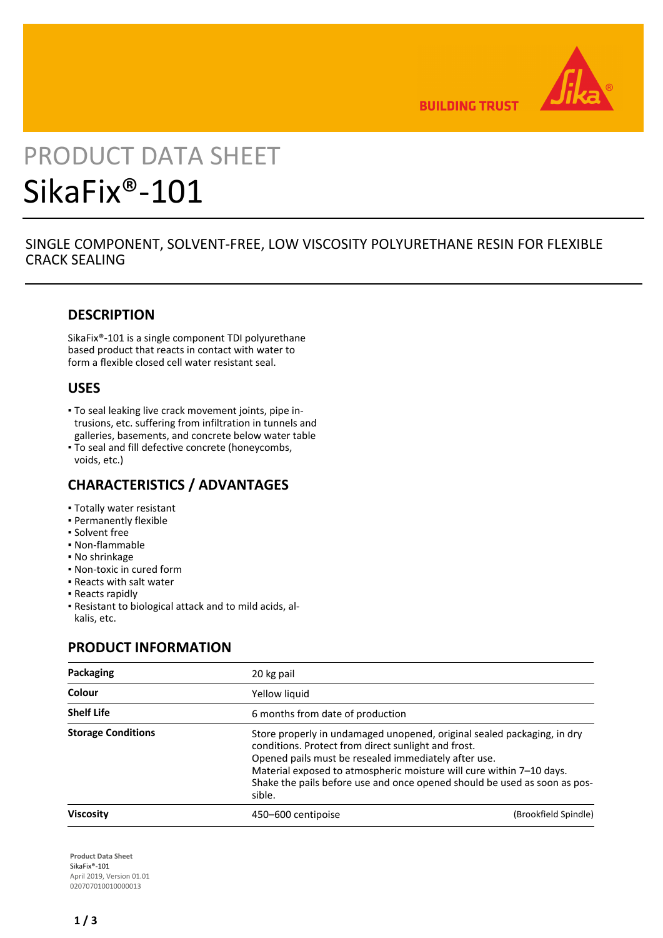

**BUILDING TRUST** 

# PRODUCT DATA SHEET SikaFix®-101

## SINGLE COMPONENT, SOLVENT-FREE, LOW VISCOSITY POLYURETHANE RESIN FOR FLEXIBLE CRACK SEALING

## **DESCRIPTION**

SikaFix®-101 is a single component TDI polyurethane based product that reacts in contact with water to form a flexible closed cell water resistant seal.

## **USES**

- To seal leaking live crack movement joints, pipe in-▪ trusions, etc. suffering from infiltration in tunnels and galleries, basements, and concrete below water table
- To seal and fill defective concrete (honeycombs, voids, etc.)

## **CHARACTERISTICS / ADVANTAGES**

- Totally water resistant
- **Permanently flexible**
- **Solvent free**
- Non-flammable
- No shrinkage
- Non-toxic in cured form
- Reacts with salt water
- Reacts rapidly
- Resistant to biological attack and to mild acids, al-▪ kalis, etc.

## **PRODUCT INFORMATION**

| Packaging                 | 20 kg pail                       |                                                                                                                                                                                                                                                                                                                                             |  |
|---------------------------|----------------------------------|---------------------------------------------------------------------------------------------------------------------------------------------------------------------------------------------------------------------------------------------------------------------------------------------------------------------------------------------|--|
| Colour                    | Yellow liquid                    |                                                                                                                                                                                                                                                                                                                                             |  |
| <b>Shelf Life</b>         | 6 months from date of production |                                                                                                                                                                                                                                                                                                                                             |  |
| <b>Storage Conditions</b> | sible.                           | Store properly in undamaged unopened, original sealed packaging, in dry<br>conditions. Protect from direct sunlight and frost.<br>Opened pails must be resealed immediately after use.<br>Material exposed to atmospheric moisture will cure within 7-10 days.<br>Shake the pails before use and once opened should be used as soon as pos- |  |
| <b>Viscosity</b>          | 450–600 centipoise               | (Brookfield Spindle)                                                                                                                                                                                                                                                                                                                        |  |

**Product Data Sheet** SikaFix®-101 April 2019, Version 01.01 020707010010000013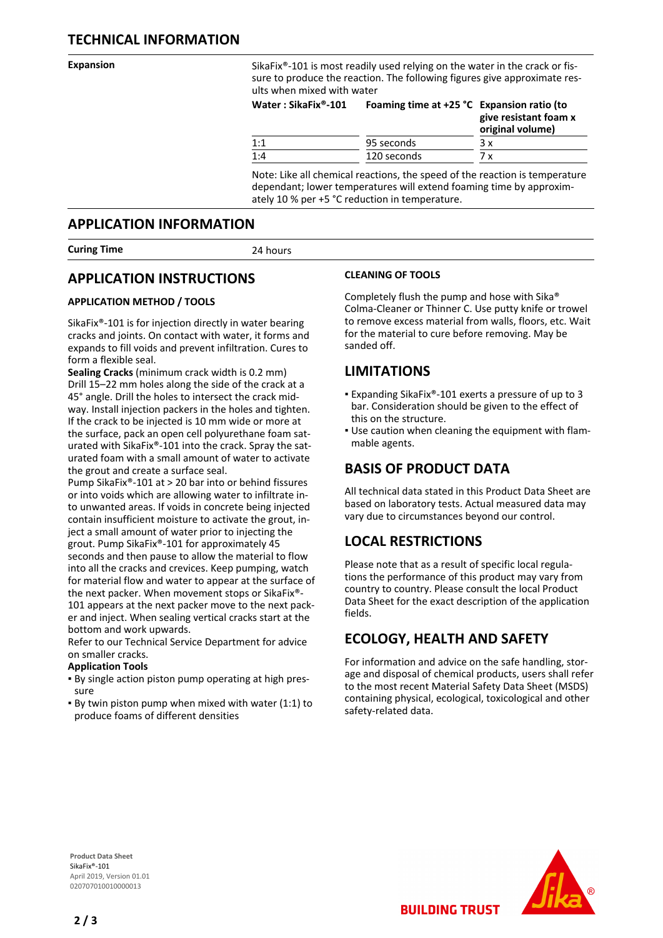**Expansion** SikaFix<sup>®</sup>-101 is most readily used relying on the water in the crack or fissure to produce the reaction. The following figures give approximate results when mixed with water

| Water: SikaFix®-101 | Foaming time at $+25$ °C Expansion ratio (to | give resistant foam x<br>original volume) |
|---------------------|----------------------------------------------|-------------------------------------------|
| 1:1                 | 95 seconds                                   | 3 x                                       |
| 1:4                 | 120 seconds                                  | 7 x                                       |

Note: Like all chemical reactions, the speed of the reaction is temperature dependant; lower temperatures will extend foaming time by approximately 10 % per +5 °C reduction in temperature.

### **APPLICATION INFORMATION**

**Curing Time** 24 hours

## **APPLICATION INSTRUCTIONS**

#### **APPLICATION METHOD / TOOLS**

SikaFix®-101 is for injection directly in water bearing cracks and joints. On contact with water, it forms and expands to fill voids and prevent infiltration. Cures to form a flexible seal.

**Sealing Cracks** (minimum crack width is 0.2 mm) Drill 15–22 mm holes along the side of the crack at a 45° angle. Drill the holes to intersect the crack midway. Install injection packers in the holes and tighten. If the crack to be injected is 10 mm wide or more at the surface, pack an open cell polyurethane foam saturated with SikaFix®-101 into the crack. Spray the saturated foam with a small amount of water to activate the grout and create a surface seal.

Pump SikaFix®-101 at > 20 bar into or behind fissures or into voids which are allowing water to infiltrate into unwanted areas. If voids in concrete being injected contain insufficient moisture to activate the grout, inject a small amount of water prior to injecting the grout. Pump SikaFix®-101 for approximately 45 seconds and then pause to allow the material to flow into all the cracks and crevices. Keep pumping, watch for material flow and water to appear at the surface of the next packer. When movement stops or SikaFix®- 101 appears at the next packer move to the next packer and inject. When sealing vertical cracks start at the bottom and work upwards.

Refer to our Technical Service Department for advice on smaller cracks.

#### **Application Tools**

- By single action piston pump operating at high pres-▪ sure
- By twin piston pump when mixed with water (1:1) to produce foams of different densities

#### **CLEANING OF TOOLS**

Completely flush the pump and hose with Sika® Colma-Cleaner or Thinner C. Use putty knife or trowel to remove excess material from walls, floors, etc. Wait for the material to cure before removing. May be sanded off.

## **LIMITATIONS**

- Expanding SikaFix®-101 exerts a pressure of up to 3 bar. Consideration should be given to the effect of this on the structure.
- . Use caution when cleaning the equipment with flammable agents.

## **BASIS OF PRODUCT DATA**

All technical data stated in this Product Data Sheet are based on laboratory tests. Actual measured data may vary due to circumstances beyond our control.

## **LOCAL RESTRICTIONS**

Please note that as a result of specific local regulations the performance of this product may vary from country to country. Please consult the local Product Data Sheet for the exact description of the application fields.

## **ECOLOGY, HEALTH AND SAFETY**

**BUILDING TRUST** 

For information and advice on the safe handling, storage and disposal of chemical products, users shall refer to the most recent Material Safety Data Sheet (MSDS) containing physical, ecological, toxicological and other safety-related data.

**Product Data Sheet** SikaFix®-101 April 2019, Version 01.01 020707010010000013